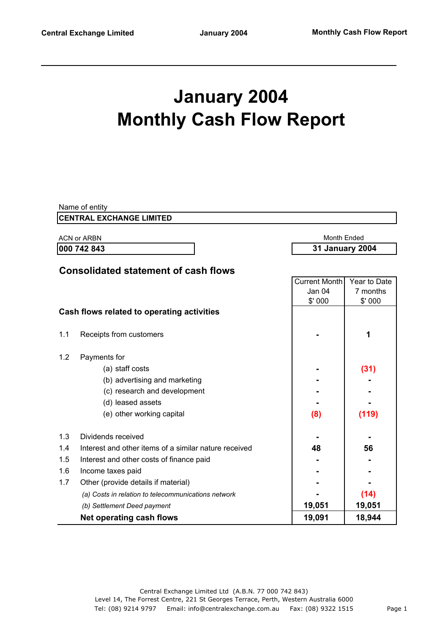# **January 2004 Monthly Cash Flow Report**

|     | Name of entity                                        |                        |              |
|-----|-------------------------------------------------------|------------------------|--------------|
|     | <b>CENTRAL EXCHANGE LIMITED</b>                       |                        |              |
|     | <b>ACN or ARBN</b>                                    | <b>Month Ended</b>     |              |
|     | 000 742 843                                           | <b>31 January 2004</b> |              |
|     |                                                       |                        |              |
|     | <b>Consolidated statement of cash flows</b>           |                        |              |
|     |                                                       | <b>Current Month</b>   | Year to Date |
|     |                                                       | Jan 04                 | 7 months     |
|     |                                                       | \$'000                 | \$'000       |
|     | Cash flows related to operating activities            |                        |              |
| 1.1 |                                                       |                        | 1            |
|     | Receipts from customers                               |                        |              |
| 1.2 | Payments for                                          |                        |              |
|     | (a) staff costs                                       |                        | (31)         |
|     | (b) advertising and marketing                         |                        |              |
|     | (c) research and development                          |                        |              |
|     | (d) leased assets                                     |                        |              |
|     | (e) other working capital                             | (8)                    | (119)        |
|     |                                                       |                        |              |
| 1.3 | Dividends received                                    |                        |              |
| 1.4 | Interest and other items of a similar nature received | 48                     | 56           |
| 1.5 | Interest and other costs of finance paid              |                        |              |
| 1.6 | Income taxes paid                                     |                        |              |
| 1.7 | Other (provide details if material)                   |                        |              |
|     | (a) Costs in relation to telecommunications network   |                        | (14)         |
|     | (b) Settlement Deed payment                           | 19,051                 | 19,051       |
|     | <b>Net operating cash flows</b>                       | 19,091                 | 18,944       |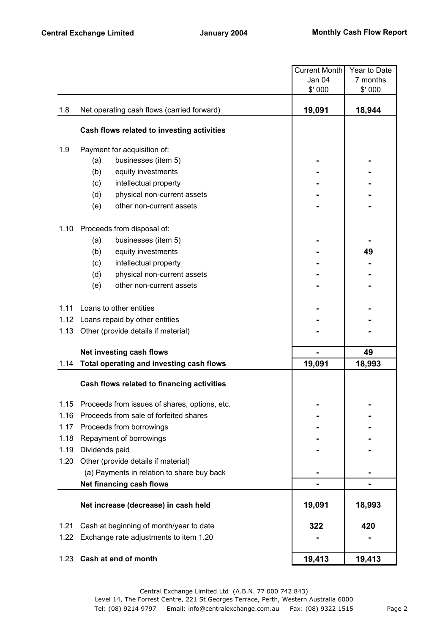|      |                                               | <b>Current Month</b> | Year to Date |
|------|-----------------------------------------------|----------------------|--------------|
|      |                                               | Jan 04               | 7 months     |
|      |                                               | \$' 000              | \$' 000      |
| 1.8  | Net operating cash flows (carried forward)    | 19,091               | 18,944       |
|      | Cash flows related to investing activities    |                      |              |
| 1.9  | Payment for acquisition of:                   |                      |              |
|      | (a)<br>businesses (item 5)                    |                      |              |
|      | (b)<br>equity investments                     |                      |              |
|      | (c)<br>intellectual property                  |                      |              |
|      | (d)<br>physical non-current assets            |                      |              |
|      | other non-current assets<br>(e)               |                      |              |
| 1.10 | Proceeds from disposal of:                    |                      |              |
|      | businesses (item 5)<br>(a)                    |                      |              |
|      | equity investments<br>(b)                     |                      | 49           |
|      | intellectual property<br>(c)                  |                      |              |
|      | (d)<br>physical non-current assets            |                      |              |
|      | (e)<br>other non-current assets               |                      |              |
| 1.11 | Loans to other entities                       |                      |              |
|      | 1.12 Loans repaid by other entities           |                      |              |
| 1.13 | Other (provide details if material)           |                      |              |
|      | Net investing cash flows                      |                      | 49           |
| 1.14 | Total operating and investing cash flows      | 19,091               | 18,993       |
|      | Cash flows related to financing activities    |                      |              |
| 1.15 | Proceeds from issues of shares, options, etc. |                      |              |
| 1.16 | Proceeds from sale of forfeited shares        |                      |              |
| 1.17 | Proceeds from borrowings                      |                      |              |
| 1.18 | Repayment of borrowings                       |                      |              |
| 1.19 | Dividends paid                                |                      |              |
| 1.20 | Other (provide details if material)           |                      |              |
|      | (a) Payments in relation to share buy back    |                      |              |
|      | Net financing cash flows                      |                      |              |
|      | Net increase (decrease) in cash held          | 19,091               | 18,993       |
| 1.21 | Cash at beginning of month/year to date       | 322                  | 420          |
| 1.22 | Exchange rate adjustments to item 1.20        |                      |              |
| 1.23 | Cash at end of month                          | 19,413               | 19,413       |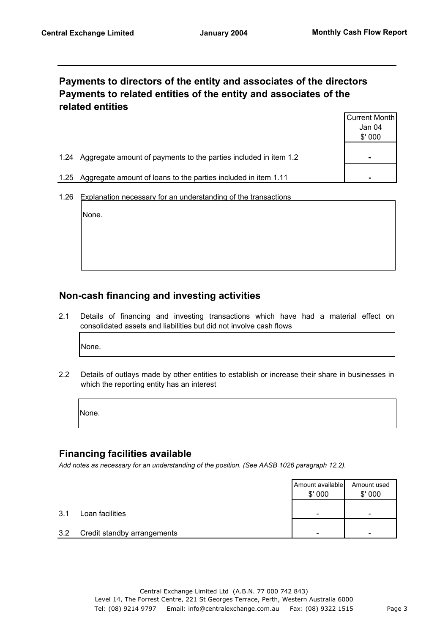#### **Payments to directors of the entity and associates of the directors Payments to related entities of the entity and associates of the related entities**

|                                                                          | Current Month  |
|--------------------------------------------------------------------------|----------------|
|                                                                          | Jan 04         |
|                                                                          | \$'000         |
|                                                                          |                |
| Aggregate amount of payments to the parties included in item 1.2<br>1.24 | $\blacksquare$ |
|                                                                          |                |
| Aggregate amount of loans to the parties included in item 1.11<br>1.25   |                |

1.26 Explanation necessary for an understanding of the transactions

None.

## **Non-cash financing and investing activities**

2.1 Details of financing and investing transactions which have had a material effect on consolidated assets and liabilities but did not involve cash flows

None.

2.2 Details of outlays made by other entities to establish or increase their share in businesses in which the reporting entity has an interest

None.

#### **Financing facilities available**

*Add notes as necessary for an understanding of the position. (See AASB 1026 paragraph 12.2).*

|     |                             | Amount available<br>\$'000 | Amount used<br>\$'000 |
|-----|-----------------------------|----------------------------|-----------------------|
| 3.1 | Loan facilities             | -                          | -                     |
| 3.2 | Credit standby arrangements | -                          | -                     |